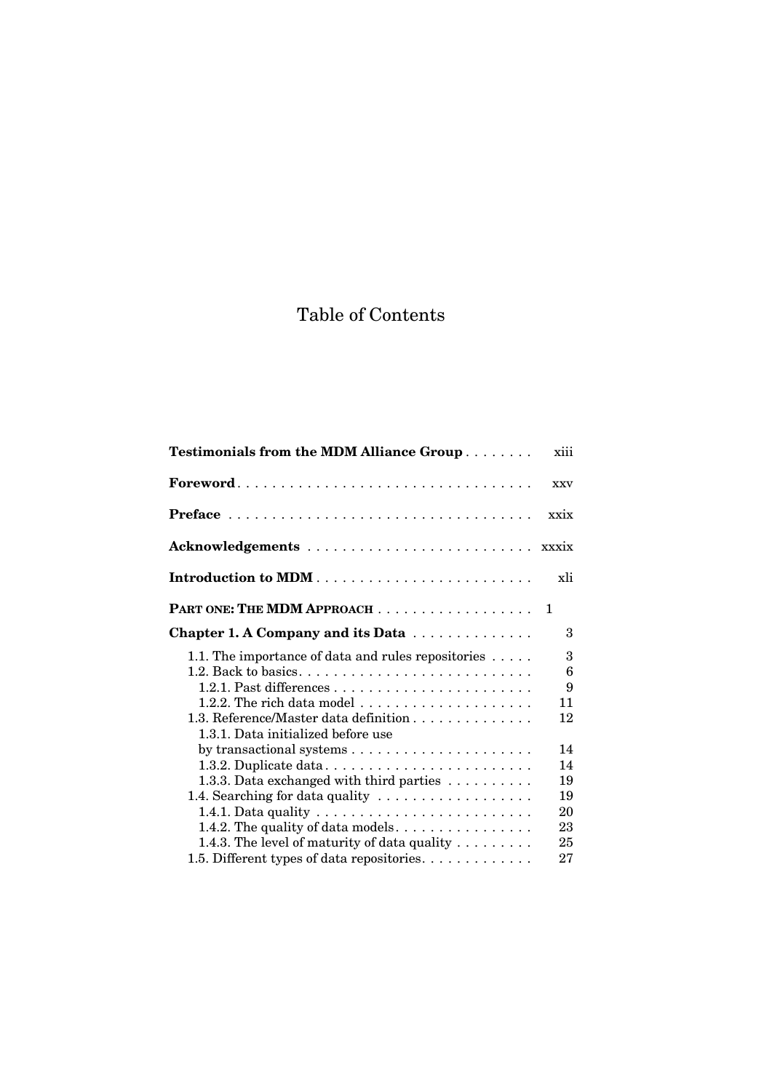# Table of Contents

| Testimonials from the MDM Alliance Group                                                                                                                                                                                                                                                                                                                                                    | xiii                                         |
|---------------------------------------------------------------------------------------------------------------------------------------------------------------------------------------------------------------------------------------------------------------------------------------------------------------------------------------------------------------------------------------------|----------------------------------------------|
|                                                                                                                                                                                                                                                                                                                                                                                             | <b>XXV</b>                                   |
|                                                                                                                                                                                                                                                                                                                                                                                             | xxix                                         |
|                                                                                                                                                                                                                                                                                                                                                                                             |                                              |
|                                                                                                                                                                                                                                                                                                                                                                                             | xli                                          |
| PART ONE: THE MDM APPROACH 1                                                                                                                                                                                                                                                                                                                                                                |                                              |
| Chapter 1. A Company and its Data                                                                                                                                                                                                                                                                                                                                                           | $\mathcal{S}_{\mathcal{S}}$                  |
| 1.1. The importance of data and rules repositories $\dots$ .<br>1.2. Back to basics. $\dots \dots \dots \dots \dots \dots \dots \dots \dots \dots$<br>1.2.2. The rich data model $\dots \dots \dots \dots \dots \dots \dots$<br>1.3. Reference/Master data definition<br>1.3.1. Data initialized before use                                                                                 | 3<br>6<br>9<br>11<br>12                      |
| 1.3.2. Duplicate data<br>1.3.3. Data exchanged with third parties<br>1.4. Searching for data quality<br>1.4.1. Data quality $\ldots \ldots \ldots \ldots \ldots \ldots \ldots \ldots$<br>1.4.2. The quality of data models. $\dots \dots \dots \dots \dots$<br>1.4.3. The level of maturity of data quality $\dots \dots$<br>1.5. Different types of data repositories. $\dots \dots \dots$ | 14<br>14<br>19<br>19<br>20<br>23<br>25<br>27 |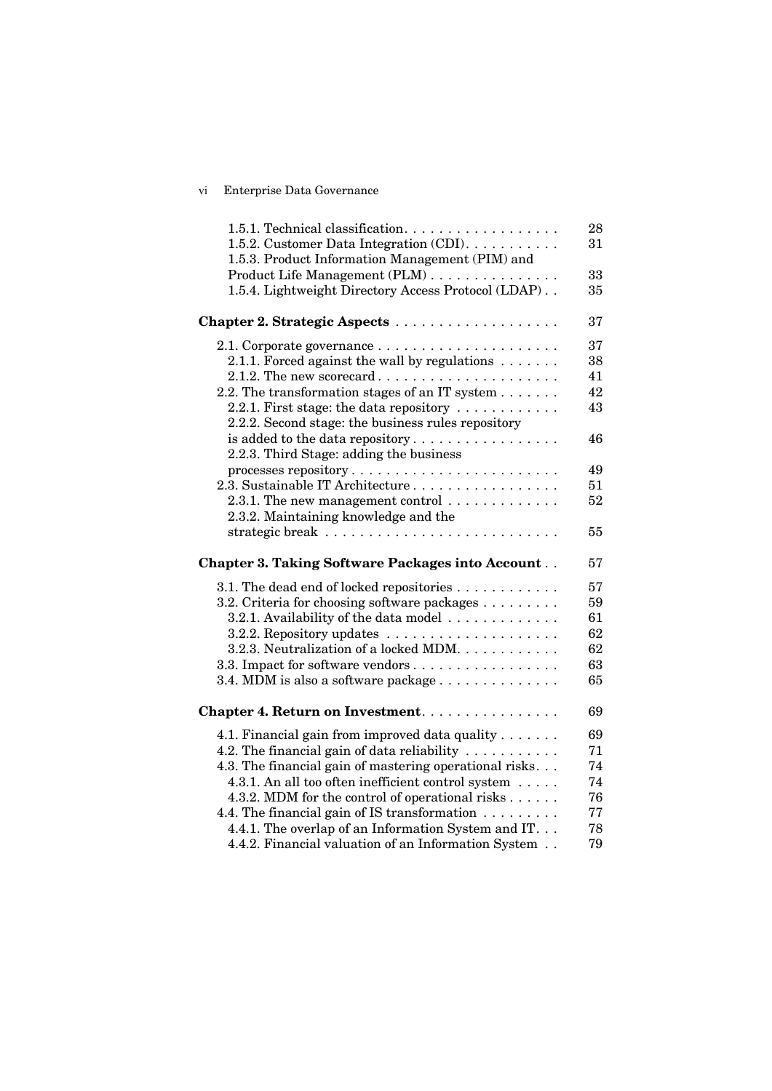## vi Enterprise Data Governance

| 1.5.1. Technical classification.<br>1.5.2. Customer Data Integration (CDI).  | 28<br>31 |
|------------------------------------------------------------------------------|----------|
| 1.5.3. Product Information Management (PIM) and                              |          |
| Product Life Management (PLM)                                                | 33       |
| 1.5.4. Lightweight Directory Access Protocol (LDAP)                          | 35       |
|                                                                              |          |
|                                                                              | 37       |
| 2.1. Corporate governance $\ldots \ldots \ldots \ldots \ldots \ldots \ldots$ | 37       |
| 2.1.1. Forced against the wall by regulations $\dots \dots$                  | 38       |
| 2.1.2. The new scorecard $\dots \dots \dots \dots \dots \dots \dots$         | 41       |
| 2.2. The transformation stages of an IT system $\dots \dots$                 | 42       |
| 2.2.1. First stage: the data repository $\dots \dots \dots$                  | 43       |
| 2.2.2. Second stage: the business rules repository                           |          |
| is added to the data repository                                              | 46       |
| 2.2.3. Third Stage: adding the business                                      |          |
|                                                                              | 49       |
| 2.3. Sustainable IT Architecture                                             | 51       |
| 2.3.1. The new management control $\dots \dots \dots \dots$                  | 52       |
| 2.3.2. Maintaining knowledge and the                                         |          |
|                                                                              | 55       |
| <b>Chapter 3. Taking Software Packages into Account</b>                      | 57       |
| 3.1. The dead end of locked repositories                                     | 57       |
| 3.2. Criteria for choosing software packages                                 | 59       |
| 3.2.1. Availability of the data model                                        | 61       |
|                                                                              | 62       |
| 3.2.3. Neutralization of a locked MDM.                                       | 62       |
| 3.3. Impact for software vendors                                             | 63       |
| 3.4. MDM is also a software package $\dots \dots \dots \dots$                | 65       |
|                                                                              |          |
| Chapter 4. Return on Investment.                                             | 69       |
| 4.1. Financial gain from improved data quality                               | 69       |
| 4.2. The financial gain of data reliability $\dots \dots \dots$              | 71       |
| 4.3. The financial gain of mastering operational risks                       | 74       |
| 4.3.1. An all too often inefficient control system                           | 74       |
| 4.3.2. MDM for the control of operational risks                              | 76       |
| 4.4. The financial gain of IS transformation $\dots \dots$                   | 77       |
| 4.4.1. The overlap of an Information System and IT.                          | 78       |
| 4.4.2. Financial valuation of an Information System                          | 79       |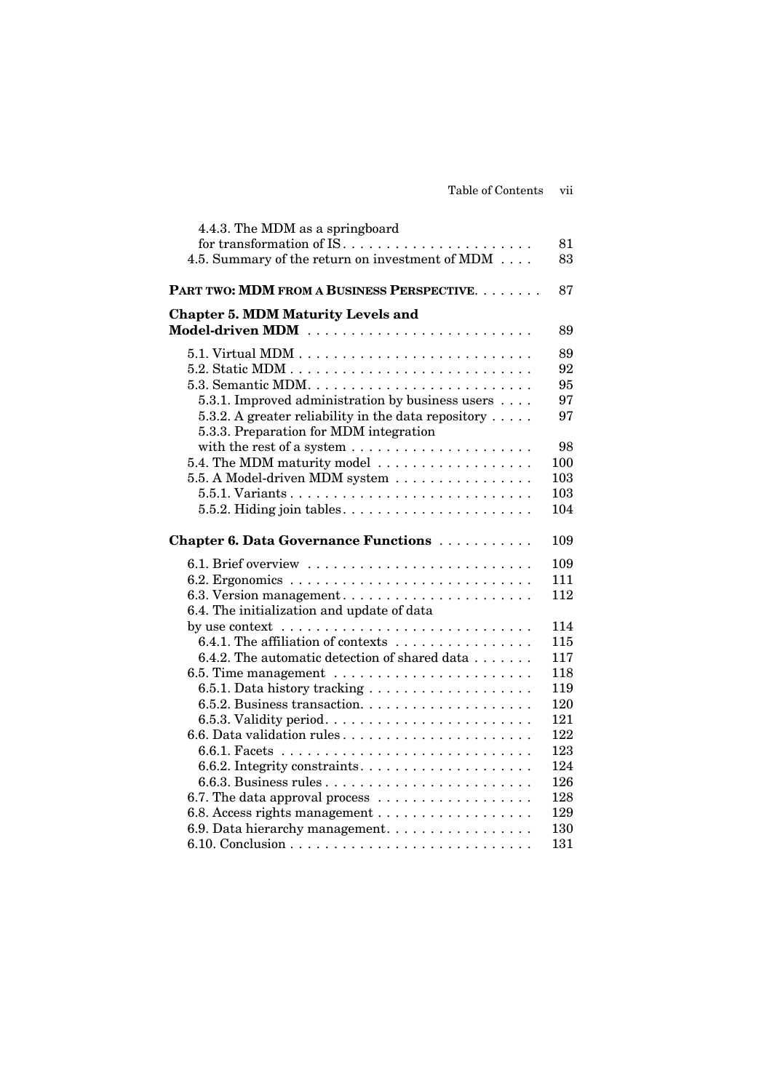| 4.4.3. The MDM as a springboard                                                    |     |
|------------------------------------------------------------------------------------|-----|
|                                                                                    | 81  |
| 4.5. Summary of the return on investment of MDM                                    | 83  |
| PART TWO: MDM FROM A BUSINESS PERSPECTIVE.                                         | 87  |
| <b>Chapter 5. MDM Maturity Levels and</b>                                          |     |
| Model-driven MDM                                                                   | 89  |
|                                                                                    | 89  |
|                                                                                    | 92  |
|                                                                                    | 95  |
| 5.3.1. Improved administration by business users                                   | 97  |
| 5.3.2. A greater reliability in the data repository $\dots$ .                      | 97  |
| 5.3.3. Preparation for MDM integration                                             |     |
| with the rest of a system $\dots \dots \dots \dots \dots \dots \dots$              | 98  |
| 5.4. The MDM maturity model $\dots \dots \dots \dots \dots \dots$                  | 100 |
| 5.5. A Model-driven MDM system                                                     | 103 |
|                                                                                    | 103 |
|                                                                                    | 104 |
| Chapter 6. Data Governance Functions                                               | 109 |
|                                                                                    | 109 |
|                                                                                    | 111 |
| 6.3. Version management                                                            | 112 |
| 6.4. The initialization and update of data                                         |     |
| by use context $\dots\dots\dots\dots\dots\dots\dots\dots\dots\dots\dots\dots\dots$ | 114 |
| 6.4.1. The affiliation of contexts                                                 | 115 |
| 6.4.2. The automatic detection of shared data                                      | 117 |
|                                                                                    | 118 |
|                                                                                    | 119 |
|                                                                                    | 120 |
|                                                                                    | 121 |
| 6.6. Data validation rules                                                         | 122 |
|                                                                                    | 123 |
| 6.6.2. Integrity constraints                                                       | 124 |
|                                                                                    | 126 |
|                                                                                    | 128 |
|                                                                                    | 129 |
| 6.9. Data hierarchy management.                                                    | 130 |
|                                                                                    | 131 |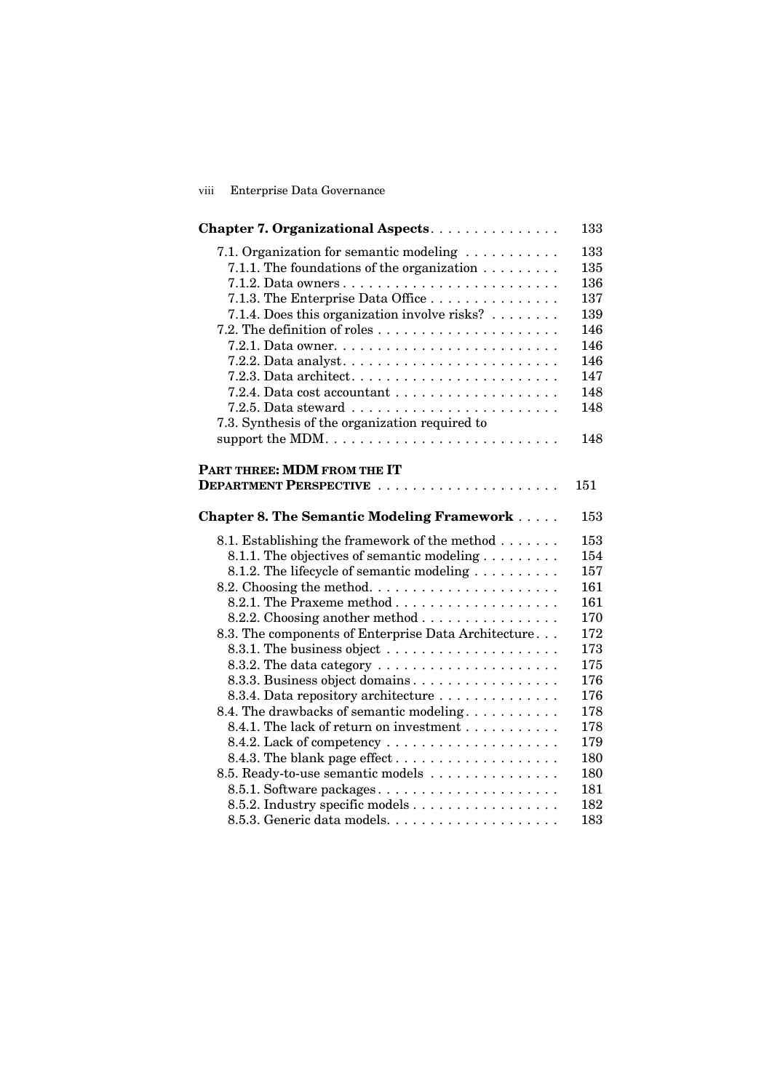## viii Enterprise Data Governance

| Chapter 7. Organizational Aspects.                                         | 133 |
|----------------------------------------------------------------------------|-----|
| 7.1. Organization for semantic modeling                                    | 133 |
| 7.1.1. The foundations of the organization $\ldots \ldots \ldots$          | 135 |
|                                                                            | 136 |
| 7.1.3. The Enterprise Data Office                                          | 137 |
| 7.1.4. Does this organization involve risks?                               | 139 |
|                                                                            | 146 |
| 7.2.1. Data owner. $\dots \dots \dots \dots \dots \dots \dots \dots \dots$ | 146 |
|                                                                            | 146 |
|                                                                            | 147 |
|                                                                            | 148 |
|                                                                            | 148 |
| 7.3. Synthesis of the organization required to                             |     |
| support the MDM                                                            | 148 |
| PART THREE: MDM FROM THE IT                                                |     |
|                                                                            | 151 |
| <b>Chapter 8. The Semantic Modeling Framework</b>                          | 153 |
| 8.1. Establishing the framework of the method                              | 153 |
| 8.1.1. The objectives of semantic modeling                                 | 154 |
| 8.1.2. The lifecycle of semantic modeling                                  | 157 |
| 8.2. Choosing the method                                                   | 161 |
|                                                                            | 161 |
| 8.2.2. Choosing another method $\ldots \ldots \ldots \ldots \ldots$        | 170 |
| 8.3. The components of Enterprise Data Architecture                        | 172 |
|                                                                            | 173 |
| 8.3.2. The data category $\dots \dots \dots \dots \dots \dots \dots$       | 175 |
| 8.3.3. Business object domains                                             | 176 |
| 8.3.4. Data repository architecture                                        | 176 |
| 8.4. The drawbacks of semantic modeling                                    | 178 |
| 8.4.1. The lack of return on investment                                    | 178 |
|                                                                            | 179 |
|                                                                            | 180 |
| 8.5. Ready-to-use semantic models                                          | 180 |
| 8.5.1. Software packages                                                   | 181 |
| 8.5.2. Industry specific models                                            | 182 |
|                                                                            | 183 |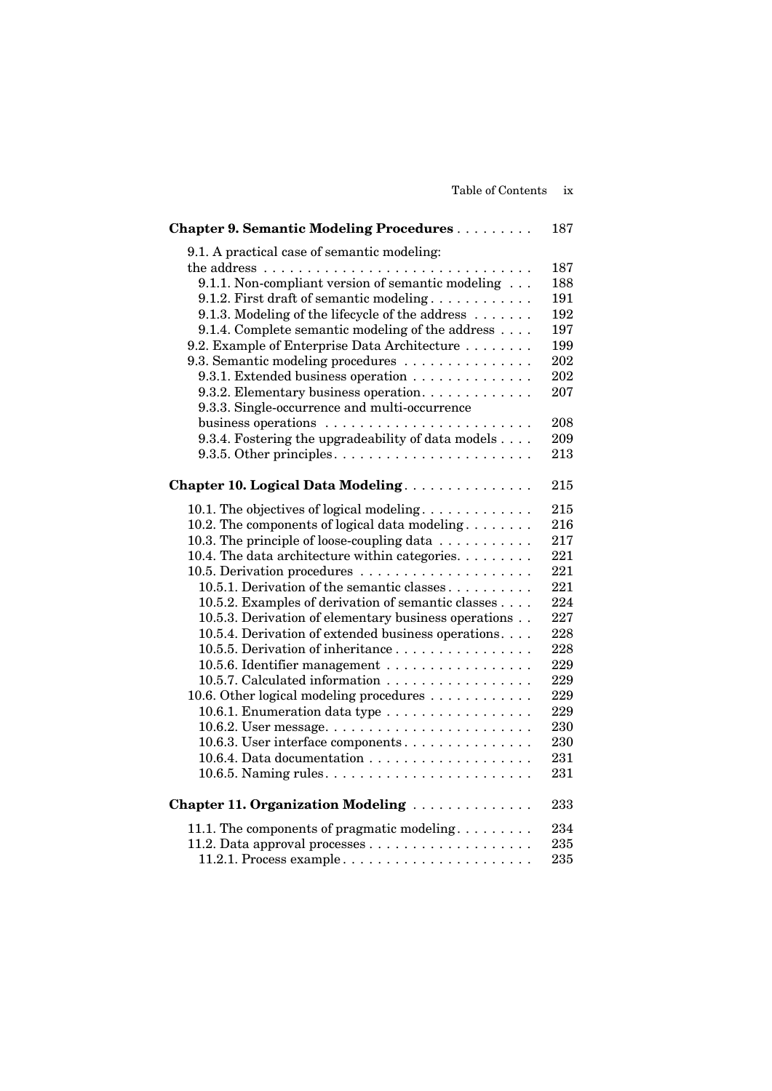| <b>Chapter 9. Semantic Modeling Procedures</b>                                                                                                                                                                                                                                                                                                                                                                                                                                        | 187                                                         |
|---------------------------------------------------------------------------------------------------------------------------------------------------------------------------------------------------------------------------------------------------------------------------------------------------------------------------------------------------------------------------------------------------------------------------------------------------------------------------------------|-------------------------------------------------------------|
| 9.1. A practical case of semantic modeling:<br>9.1.1. Non-compliant version of semantic modeling<br>9.1.2. First draft of semantic modeling<br>9.1.3. Modeling of the lifecycle of the address $\dots \dots$<br>9.1.4. Complete semantic modeling of the address<br>9.2. Example of Enterprise Data Architecture<br>9.3. Semantic modeling procedures<br>9.3.1. Extended business operation<br>9.3.2. Elementary business operation.<br>9.3.3. Single-occurrence and multi-occurrence | 187<br>188<br>191<br>192<br>197<br>199<br>202<br>202<br>207 |
| business operations                                                                                                                                                                                                                                                                                                                                                                                                                                                                   | 208                                                         |
| 9.3.4. Fostering the upgradeability of data models                                                                                                                                                                                                                                                                                                                                                                                                                                    | 209                                                         |
| 9.3.5. Other principles $\dots \dots \dots \dots \dots \dots \dots \dots$                                                                                                                                                                                                                                                                                                                                                                                                             | 213                                                         |
| Chapter 10. Logical Data Modeling                                                                                                                                                                                                                                                                                                                                                                                                                                                     | 215                                                         |
| 10.1. The objectives of logical modeling                                                                                                                                                                                                                                                                                                                                                                                                                                              | 215                                                         |
| 10.2. The components of logical data modeling                                                                                                                                                                                                                                                                                                                                                                                                                                         | 216                                                         |
| 10.3. The principle of loose-coupling data $\ldots \ldots \ldots$                                                                                                                                                                                                                                                                                                                                                                                                                     | 217                                                         |
| 10.4. The data architecture within categories.                                                                                                                                                                                                                                                                                                                                                                                                                                        | 221                                                         |
|                                                                                                                                                                                                                                                                                                                                                                                                                                                                                       | 221                                                         |
| 10.5.1. Derivation of the semantic classes                                                                                                                                                                                                                                                                                                                                                                                                                                            | 221                                                         |
| 10.5.2. Examples of derivation of semantic classes                                                                                                                                                                                                                                                                                                                                                                                                                                    | 224                                                         |
| 10.5.3. Derivation of elementary business operations                                                                                                                                                                                                                                                                                                                                                                                                                                  | 227                                                         |
| 10.5.4. Derivation of extended business operations.                                                                                                                                                                                                                                                                                                                                                                                                                                   | 228                                                         |
| 10.5.5. Derivation of inheritance                                                                                                                                                                                                                                                                                                                                                                                                                                                     | 228                                                         |
| 10.5.6. Identifier management                                                                                                                                                                                                                                                                                                                                                                                                                                                         | 229                                                         |
| 10.5.7. Calculated information                                                                                                                                                                                                                                                                                                                                                                                                                                                        | 229                                                         |
| 10.6. Other logical modeling procedures                                                                                                                                                                                                                                                                                                                                                                                                                                               | 229                                                         |
| 10.6.1. Enumeration data type                                                                                                                                                                                                                                                                                                                                                                                                                                                         | 229                                                         |
|                                                                                                                                                                                                                                                                                                                                                                                                                                                                                       | 230                                                         |
| 10.6.3. User interface components                                                                                                                                                                                                                                                                                                                                                                                                                                                     | 230                                                         |
|                                                                                                                                                                                                                                                                                                                                                                                                                                                                                       | 231                                                         |
|                                                                                                                                                                                                                                                                                                                                                                                                                                                                                       | 231                                                         |
| Chapter 11. Organization Modeling                                                                                                                                                                                                                                                                                                                                                                                                                                                     | 233                                                         |
| 11.1. The components of pragmatic modeling. $\dots \dots$                                                                                                                                                                                                                                                                                                                                                                                                                             | 234                                                         |
|                                                                                                                                                                                                                                                                                                                                                                                                                                                                                       | 235                                                         |
| 11.2.1. Process example                                                                                                                                                                                                                                                                                                                                                                                                                                                               | 235                                                         |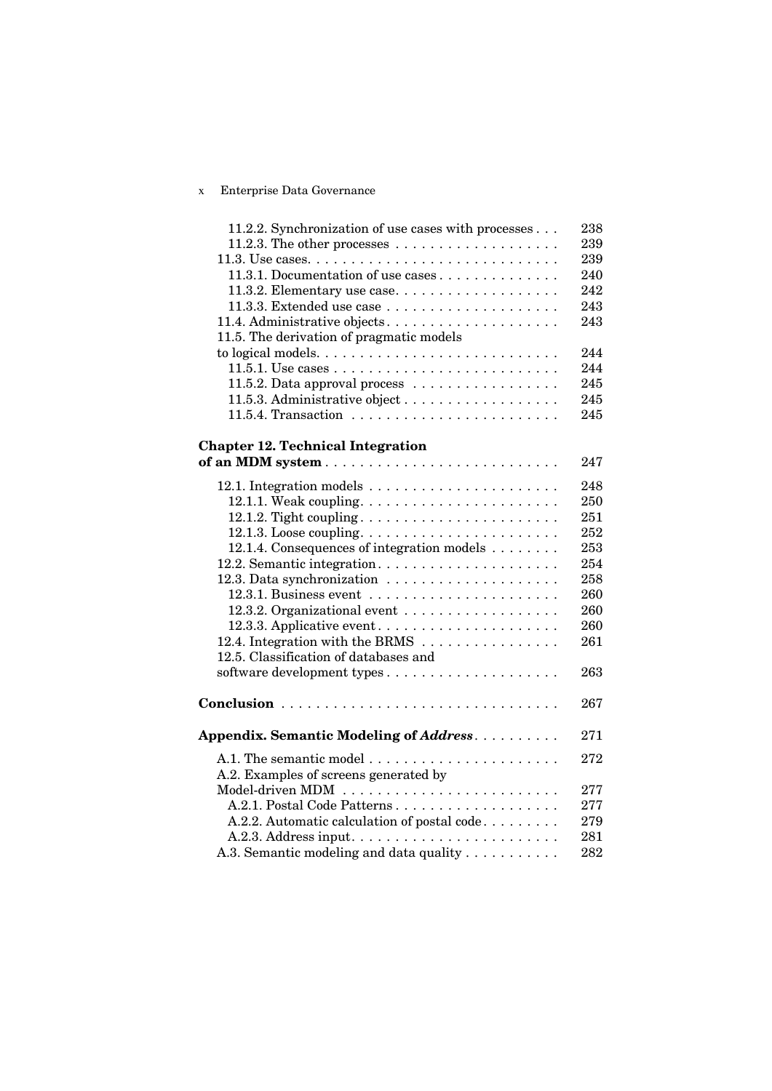## x Enterprise Data Governance

| 11.2.2. Synchronization of use cases with processes                              | 238 |
|----------------------------------------------------------------------------------|-----|
| 11.2.3. The other processes $\dots \dots \dots \dots \dots \dots \dots$          | 239 |
| $11.3.$ Use cases. $\dots \dots \dots \dots \dots \dots \dots \dots \dots \dots$ | 239 |
| 11.3.1. Documentation of use cases                                               | 240 |
| 11.3.2. Elementary use case                                                      | 242 |
|                                                                                  | 243 |
| 11.4. Administrative objects                                                     | 243 |
| 11.5. The derivation of pragmatic models                                         |     |
|                                                                                  | 244 |
|                                                                                  | 244 |
| 11.5.2. Data approval process $\dots \dots \dots \dots \dots \dots$              | 245 |
|                                                                                  | 245 |
|                                                                                  | 245 |
|                                                                                  |     |
| <b>Chapter 12. Technical Integration</b>                                         |     |
|                                                                                  | 247 |
|                                                                                  | 248 |
| 12.1.1. Weak coupling. $\dots \dots \dots \dots \dots \dots \dots \dots$         | 250 |
|                                                                                  | 251 |
|                                                                                  | 252 |
| 12.1.4. Consequences of integration models                                       | 253 |
| 12.2. Semantic integration                                                       | 254 |
|                                                                                  | 258 |
|                                                                                  | 260 |
|                                                                                  | 260 |
| 12.3.3. Applicative event                                                        | 260 |
| 12.4. Integration with the BRMS $\dots \dots \dots \dots \dots$                  | 261 |
| 12.5. Classification of databases and                                            |     |
|                                                                                  | 263 |
|                                                                                  |     |
|                                                                                  | 267 |
|                                                                                  | 271 |
| Appendix. Semantic Modeling of Address.                                          |     |
|                                                                                  | 272 |
| A.2. Examples of screens generated by                                            |     |
|                                                                                  | 277 |
| A.2.1. Postal Code Patterns                                                      | 277 |
| A.2.2. Automatic calculation of postal code                                      | 279 |
|                                                                                  | 281 |
| A.3. Semantic modeling and data quality                                          | 282 |
|                                                                                  |     |